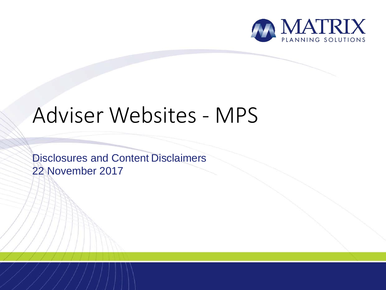

# Adviser Websites - MPS

Disclosures and Content Disclaimers 22 November 2017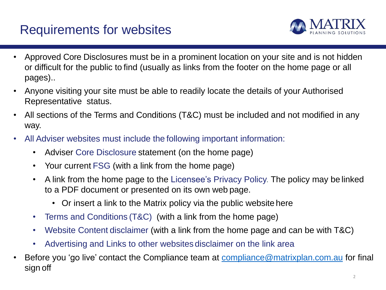# Requirements for websites



- Approved Core Disclosures must be in a prominent location on your site and is not hidden or difficult for the public to find (usually as links from the footer on the home page or all pages)..
- Anyone visiting your site must be able to readily locate the details of your Authorised Representative status.
- All sections of the Terms and Conditions (T&C) must be included and not modified in any way.
- All Adviser websites must include the following important information:
	- Adviser Core Disclosure statement (on the home page)
	- Your current FSG (with a link from the home page)
	- A link from the home page to the Licensee's Privacy Policy. The policy may be linked to a PDF document or presented on its own web page.
		- Or insert a link to the Matrix policy via the public website here
	- Terms and Conditions (T&C) (with a link from the home page)
	- Website Content disclaimer (with a link from the home page and can be with T&C)
	- Advertising and Links to other websites disclaimer on the link area
- Before you 'go live' contact the Compliance team at [compliance@matrixplan.com.au](mailto:compliance@matrixplan.com.au) for final sign off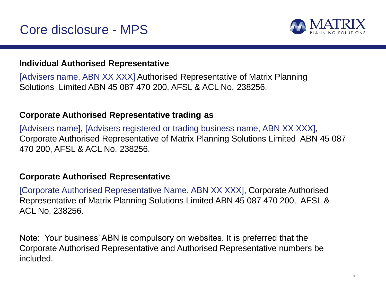

### **Individual Authorised Representative**

[Advisers name, ABN XX XXX] Authorised Representative of Matrix Planning Solutions Limited ABN 45 087 470 200, AFSL & ACL No. 238256.

### **Corporate Authorised Representative trading as**

[Advisers name], [Advisers registered or trading business name, ABN XX XXX], Corporate Authorised Representative of Matrix Planning Solutions Limited ABN 45 087 470 200, AFSL & ACL No. 238256.

#### **Corporate Authorised Representative**

[Corporate Authorised Representative Name, ABN XX XXX], Corporate Authorised Representative of Matrix Planning Solutions Limited ABN 45 087 470 200, AFSL & ACL No. 238256.

Note: Your business' ABN is compulsory on websites. It is preferred that the Corporate Authorised Representative and Authorised Representative numbers be included.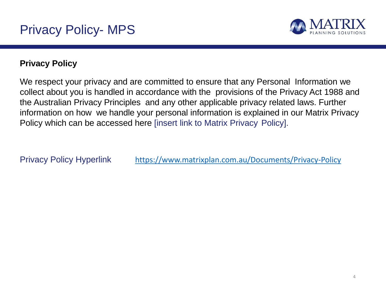

# **Privacy Policy**

We respect your privacy and are committed to ensure that any Personal Information we collect about you is handled in accordance with the provisions of the Privacy Act 1988 and the Australian Privacy Principles and any other applicable privacy related laws. Further information on how we handle your personal information is explained in our Matrix Privacy Policy which can be accessed here [insert link to Matrix Privacy Policy].

Privacy Policy Hyperlink <https://www.matrixplan.com.au/Documents/Privacy-Policy>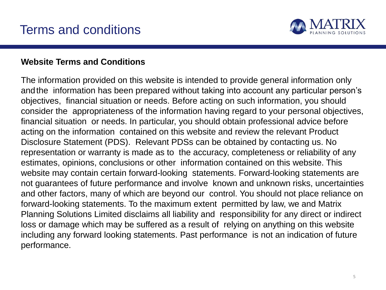

#### **Website Terms and Conditions**

The information provided on this website is intended to provide general information only andthe information has been prepared without taking into account any particular person's objectives, financial situation or needs. Before acting on such information, you should consider the appropriateness of the information having regard to your personal objectives, financial situation or needs. In particular, you should obtain professional advice before acting on the information contained on this website and review the relevant Product Disclosure Statement (PDS). Relevant PDSs can be obtained by contacting us. No representation or warranty is made as to the accuracy, completeness or reliability of any estimates, opinions, conclusions or other information contained on this website. This website may contain certain forward-looking statements. Forward-looking statements are not guarantees of future performance and involve known and unknown risks, uncertainties and other factors, many of which are beyond our control. You should not place reliance on forward-looking statements. To the maximum extent permitted by law, we and Matrix Planning Solutions Limited disclaims all liability and responsibility for any direct or indirect loss or damage which may be suffered as a result of relying on anything on this website including any forward looking statements. Past performance is not an indication of future performance.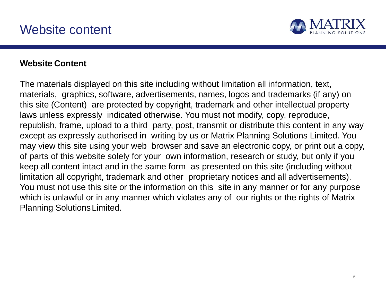

#### **Website Content**

The materials displayed on this site including without limitation all information, text, materials, graphics, software, advertisements, names, logos and trademarks (if any) on this site (Content) are protected by copyright, trademark and other intellectual property laws unless expressly indicated otherwise. You must not modify, copy, reproduce, republish, frame, upload to a third party, post, transmit or distribute this content in any way except as expressly authorised in writing by us or Matrix Planning Solutions Limited. You may view this site using your web browser and save an electronic copy, or print out a copy, of parts of this website solely for your own information, research or study, but only if you keep all content intact and in the same form as presented on this site (including without limitation all copyright, trademark and other proprietary notices and all advertisements). You must not use this site or the information on this site in any manner or for any purpose which is unlawful or in any manner which violates any of our rights or the rights of Matrix Planning SolutionsLimited.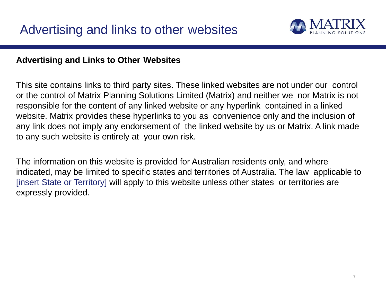

## **Advertising and Links to Other Websites**

This site contains links to third party sites. These linked websites are not under our control or the control of Matrix Planning Solutions Limited (Matrix) and neither we nor Matrix is not responsible for the content of any linked website or any hyperlink contained in a linked website. Matrix provides these hyperlinks to you as convenience only and the inclusion of any link does not imply any endorsement of the linked website by us or Matrix. A link made to any such website is entirely at your own risk.

The information on this website is provided for Australian residents only, and where indicated, may be limited to specific states and territories of Australia. The law applicable to [insert State or Territory] will apply to this website unless other states or territories are expressly provided.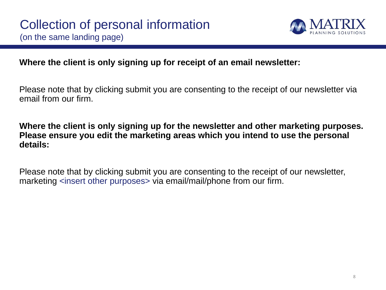

## **Where the client is only signing up for receipt of an email newsletter:**

Please note that by clicking submit you are consenting to the receipt of our newsletter via email from our firm.

**Where the client is only signing up for the newsletter and other marketing purposes. Please ensure you edit the marketing areas which you intend to use the personal details:**

Please note that by clicking submit you are consenting to the receipt of our newsletter, marketing <insert other purposes> via email/mail/phone from our firm.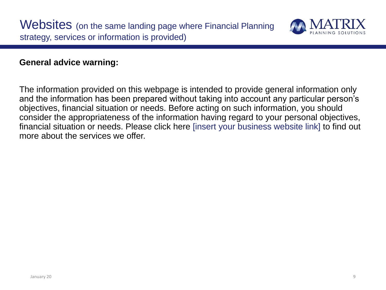

### **General advice warning:**

The information provided on this webpage is intended to provide general information only and the information has been prepared without taking into account any particular person's objectives, financial situation or needs. Before acting on such information, you should consider the appropriateness of the information having regard to your personal objectives, financial situation or needs. Please click here [insert your business website link] to find out more about the services we offer.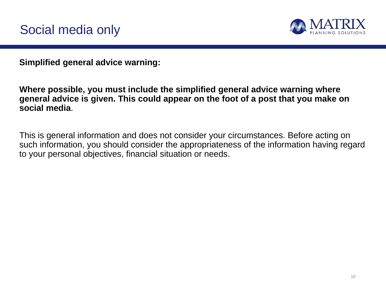

**Simplified general advice warning:**

**Where possible, you must include the simplified general advice warning where general advice is given. This could appear on the foot of a post that you make on social media**.

This is general information and does not consider your circumstances. Before acting on such information, you should consider the appropriateness of the information having regard to your personal objectives, financial situation or needs.